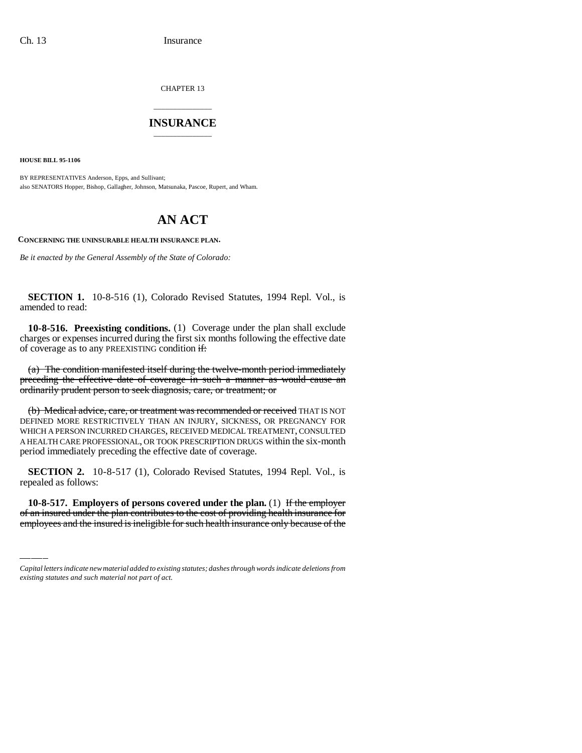CHAPTER 13

## \_\_\_\_\_\_\_\_\_\_\_\_\_\_\_ **INSURANCE** \_\_\_\_\_\_\_\_\_\_\_\_\_\_\_

**HOUSE BILL 95-1106**

BY REPRESENTATIVES Anderson, Epps, and Sullivant; also SENATORS Hopper, Bishop, Gallagher, Johnson, Matsunaka, Pascoe, Rupert, and Wham.

## **AN ACT**

**CONCERNING THE UNINSURABLE HEALTH INSURANCE PLAN.**

*Be it enacted by the General Assembly of the State of Colorado:*

**SECTION 1.** 10-8-516 (1), Colorado Revised Statutes, 1994 Repl. Vol., is amended to read:

**10-8-516. Preexisting conditions.** (1) Coverage under the plan shall exclude charges or expenses incurred during the first six months following the effective date of coverage as to any PREEXISTING condition  $\frac{d}{dt}$ :

(a) The condition manifested itself during the twelve-month period immediately preceding the effective date of coverage in such a manner as would cause an ordinarily prudent person to seek diagnosis, care, or treatment; or

(b) Medical advice, care, or treatment was recommended or received THAT IS NOT DEFINED MORE RESTRICTIVELY THAN AN INJURY, SICKNESS, OR PREGNANCY FOR WHICH A PERSON INCURRED CHARGES, RECEIVED MEDICAL TREATMENT, CONSULTED A HEALTH CARE PROFESSIONAL, OR TOOK PRESCRIPTION DRUGS within the six-month period immediately preceding the effective date of coverage.

repealed as follows: **SECTION 2.** 10-8-517 (1), Colorado Revised Statutes, 1994 Repl. Vol., is

**10-8-517. Employers of persons covered under the plan.** (1) If the employer of an insured under the plan contributes to the cost of providing health insurance for employees and the insured is ineligible for such health insurance only because of the

*Capital letters indicate new material added to existing statutes; dashes through words indicate deletions from existing statutes and such material not part of act.*